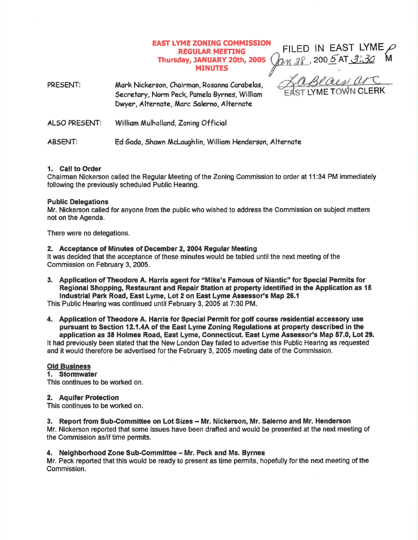## EAST LYME ZONING COMMISSION FILED IN EAST LYME REGULAR MEETING Thursday, JANUARY 20th, 2005 MINUTES

, 200 <u>5</u> AT 3', 30 P M Beaux arc

PRESENT: Mark Nickerson, Chairman, Rosanna Carabelas, Secretary, Norm Peck, Pamela Byrnes, William Dwyer, Alternate, Marc Salerno, Alternate

ALSO PRESENT: William Mulholland, Zoning Official

ABSENT: Ed Gada, Shawn McLaughlin, William Henderson, Alternate

# 1. Call to Order

Chairman Nickerson called the Regular Meeting of the Zoning Gommission to order at 11 :34 PM immediately following the previously scheduled Public Hearing,

## Public Delegations

Mr. Nickerson called for anyone from the public who wished to address the Commission on subject matters not on the Agenda.

There were no delegations.

## 2. Acceptance of Minutes of December 2, 2004 Regular Meeting

It was decided that the acceptance of these minutes would be tabled until the next meeting of the Commission on February 3, 2005.

3. Application of Theodore A. Harris agent for "Mike's Famous of Niantic" for Special Permits for Regional Shopping, Restaurant and Repair Station at property identified in the Application as 15 Industrial Park Road, East Lyme, Lot 2 on East Lyme Assessor's Map 20.1

This Public Hearing was continued until February 3, 2005 at 7:30 PM.

4. Application of Theodore A. Harris for Special Permit for golf course residential accessory use pursuant to Section 12.1.4A of the East Lyme Zoning Regulations at property described in the application as 38 Holmes Road, East Lyme, Connecticut. East Lyme Assessor's Map 57.0, Lot 29. It had previously been stated that the New London Day failed to advertise this Public Hearing as requested and it would therefore be advertised for the February 3, 2005 meeting date of the Commission.

# Old Business<br>1. Stormwater

This oontinues to be worked on.

## 2, Aquifer Protection

This continues to be worked on.

## 3. Report from Sub-Committee on Lot Sizes – Mr. Nickerson, Mr. Salerno and Mr. Henderson

Mr. Nickerson reported that some lssues have been drafted and would be presented at the next meeting of the Commission as/if time permits.

## 4. Neighborhood Zone Sub-Committee - Mr. Peck and Ms. Byrnes

Mr. Peck reported that this would be ready to present as time permits, hopefully forthe next meeting of the Commission.